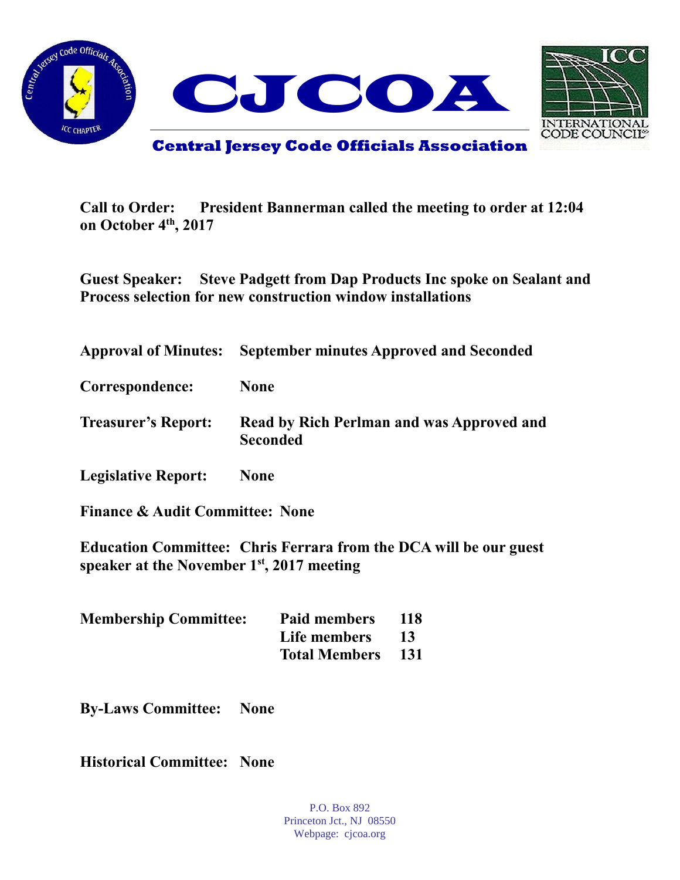



**Call to Order: President Bannerman called the meeting to order at 12:04 on October 4th, 2017**

**Guest Speaker: Steve Padgett from Dap Products Inc spoke on Sealant and Process selection for new construction window installations**

| <b>Approval of Minutes:</b> | <b>September minutes Approved and Seconded</b>               |
|-----------------------------|--------------------------------------------------------------|
| Correspondence:             | <b>None</b>                                                  |
| <b>Treasurer's Report:</b>  | Read by Rich Perlman and was Approved and<br><b>Seconded</b> |
| <b>Legislative Report:</b>  | <b>None</b>                                                  |

**Finance & Audit Committee: None**

**Education Committee: Chris Ferrara from the DCA will be our guest speaker at the November 1st, 2017 meeting**

| <b>Membership Committee:</b> | <b>Paid members</b>  | -118 |
|------------------------------|----------------------|------|
|                              | Life members         | -13  |
|                              | <b>Total Members</b> | -131 |

**By-Laws Committee: None**

**Historical Committee: None**

P.O. Box 892 Princeton Jct., NJ 08550 Webpage: cjcoa.org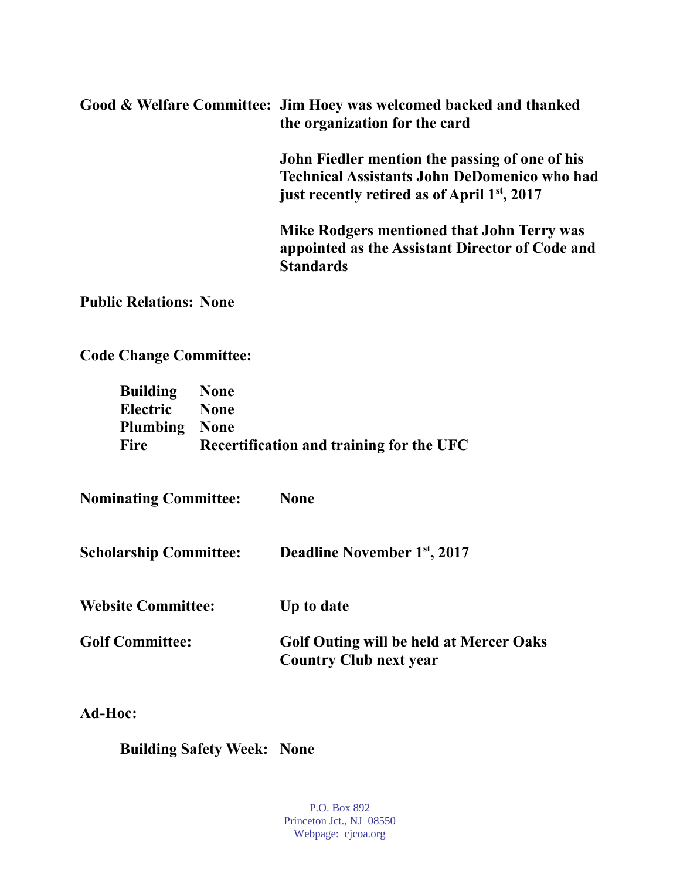**Good & Welfare Committee: Jim Hoey was welcomed backed and thanked the organization for the card**

> **John Fiedler mention the passing of one of his Technical Assistants John DeDomenico who had just recently retired as of April 1st, 2017**

> **Mike Rodgers mentioned that John Terry was appointed as the Assistant Director of Code and Standards**

**Public Relations: None**

**Code Change Committee:**

| <b>Building</b> None |                                          |
|----------------------|------------------------------------------|
| Electric None        |                                          |
| <b>Plumbing None</b> |                                          |
| Fire                 | Recertification and training for the UFC |

**Nominating Committee: None** 

**Scholarship Committee: Deadline November 1st, 2017** 

**Website Committee: Up to date**

**Golf Committee: Golf Outing will be held at Mercer Oaks Country Club next year**

**Ad-Hoc:**

**Building Safety Week: None**

P.O. Box 892 Princeton Jct., NJ 08550 Webpage: cjcoa.org